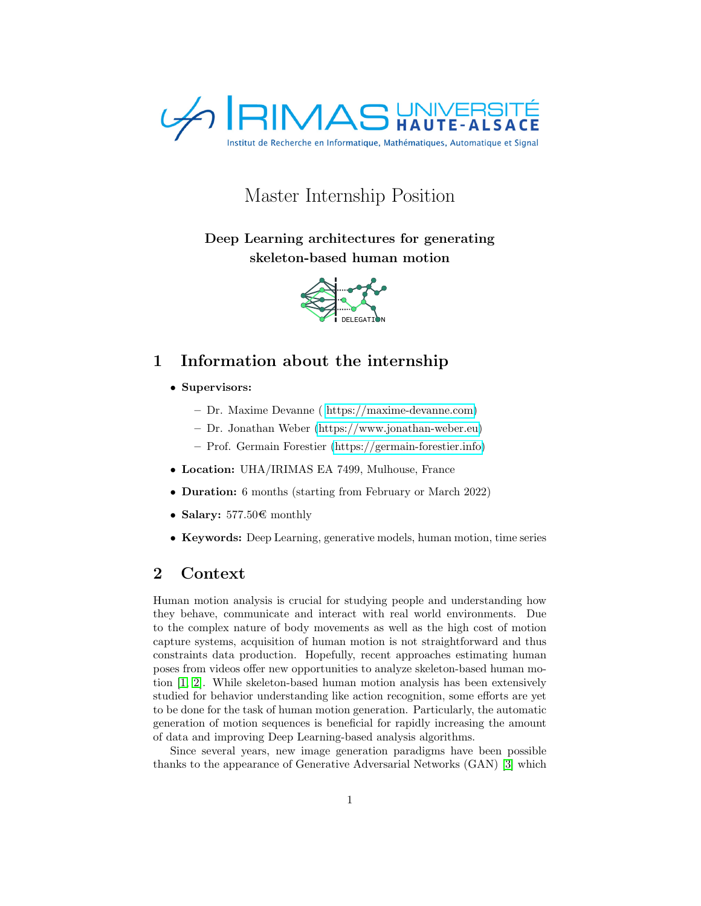

# Master Internship Position

Deep Learning architectures for generating skeleton-based human motion



### 1 Information about the internship

- Supervisors:
	- Dr. Maxime Devanne ( [https://maxime-devanne.com\)](https://maxime-devanne.com)
	- Dr. Jonathan Weber [\(https://www.jonathan-weber.eu\)](https://www.jonathan-weber.eu)
	- Prof. Germain Forestier [\(https://germain-forestier.info\)](https://germain-forestier.info)
- Location: UHA/IRIMAS EA 7499, Mulhouse, France
- **Duration:** 6 months (starting from February or March 2022)
- Salary:  $577.50 \text{C}$  monthly
- Keywords: Deep Learning, generative models, human motion, time series

### 2 Context

Human motion analysis is crucial for studying people and understanding how they behave, communicate and interact with real world environments. Due to the complex nature of body movements as well as the high cost of motion capture systems, acquisition of human motion is not straightforward and thus constraints data production. Hopefully, recent approaches estimating human poses from videos offer new opportunities to analyze skeleton-based human motion [\[1,](#page-3-0) [2\]](#page-3-1). While skeleton-based human motion analysis has been extensively studied for behavior understanding like action recognition, some efforts are yet to be done for the task of human motion generation. Particularly, the automatic generation of motion sequences is beneficial for rapidly increasing the amount of data and improving Deep Learning-based analysis algorithms.

Since several years, new image generation paradigms have been possible thanks to the appearance of Generative Adversarial Networks (GAN) [\[3\]](#page-3-2) which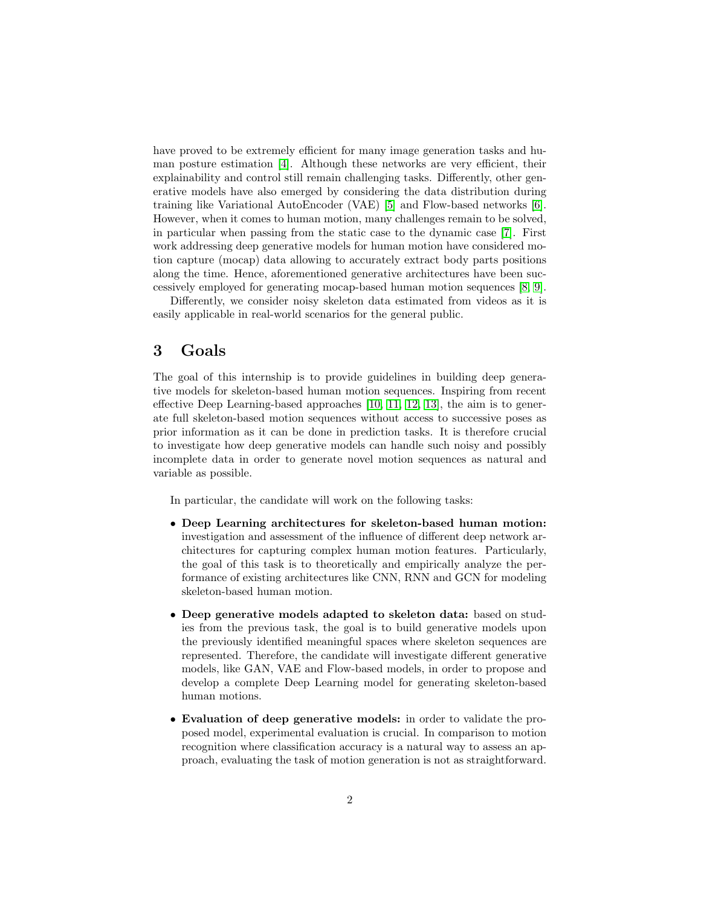have proved to be extremely efficient for many image generation tasks and human posture estimation [\[4\]](#page-3-3). Although these networks are very efficient, their explainability and control still remain challenging tasks. Differently, other generative models have also emerged by considering the data distribution during training like Variational AutoEncoder (VAE) [\[5\]](#page-3-4) and Flow-based networks [\[6\]](#page-3-5). However, when it comes to human motion, many challenges remain to be solved, in particular when passing from the static case to the dynamic case [\[7\]](#page-3-6). First work addressing deep generative models for human motion have considered motion capture (mocap) data allowing to accurately extract body parts positions along the time. Hence, aforementioned generative architectures have been successively employed for generating mocap-based human motion sequences [\[8,](#page-3-7) [9\]](#page-3-8).

Differently, we consider noisy skeleton data estimated from videos as it is easily applicable in real-world scenarios for the general public.

#### 3 Goals

The goal of this internship is to provide guidelines in building deep generative models for skeleton-based human motion sequences. Inspiring from recent effective Deep Learning-based approaches [\[10,](#page-3-9) [11,](#page-3-10) [12,](#page-3-11) [13\]](#page-3-12), the aim is to generate full skeleton-based motion sequences without access to successive poses as prior information as it can be done in prediction tasks. It is therefore crucial to investigate how deep generative models can handle such noisy and possibly incomplete data in order to generate novel motion sequences as natural and variable as possible.

In particular, the candidate will work on the following tasks:

- Deep Learning architectures for skeleton-based human motion: investigation and assessment of the influence of different deep network architectures for capturing complex human motion features. Particularly, the goal of this task is to theoretically and empirically analyze the performance of existing architectures like CNN, RNN and GCN for modeling skeleton-based human motion.
- Deep generative models adapted to skeleton data: based on studies from the previous task, the goal is to build generative models upon the previously identified meaningful spaces where skeleton sequences are represented. Therefore, the candidate will investigate different generative models, like GAN, VAE and Flow-based models, in order to propose and develop a complete Deep Learning model for generating skeleton-based human motions.
- Evaluation of deep generative models: in order to validate the proposed model, experimental evaluation is crucial. In comparison to motion recognition where classification accuracy is a natural way to assess an approach, evaluating the task of motion generation is not as straightforward.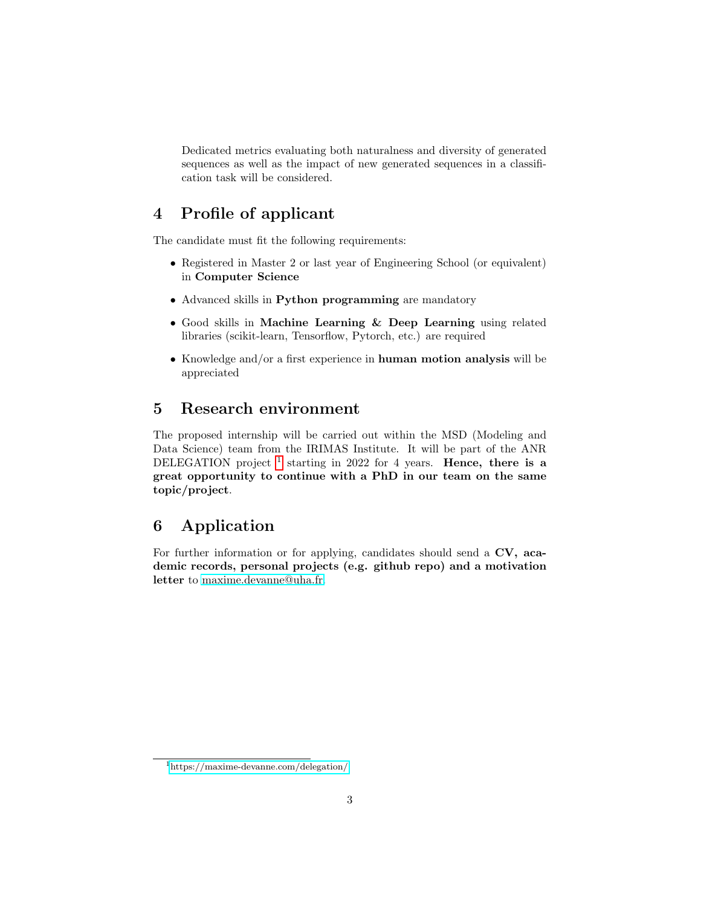Dedicated metrics evaluating both naturalness and diversity of generated sequences as well as the impact of new generated sequences in a classification task will be considered.

## 4 Profile of applicant

The candidate must fit the following requirements:

- Registered in Master 2 or last year of Engineering School (or equivalent) in Computer Science
- Advanced skills in Python programming are mandatory
- Good skills in Machine Learning & Deep Learning using related libraries (scikit-learn, Tensorflow, Pytorch, etc.) are required
- Knowledge and/or a first experience in human motion analysis will be appreciated

### 5 Research environment

The proposed internship will be carried out within the MSD (Modeling and Data Science) team from the IRIMAS Institute. It will be part of the ANR DELEGATION project  $<sup>1</sup>$  $<sup>1</sup>$  $<sup>1</sup>$  starting in 2022 for 4 years. Hence, there is a</sup> great opportunity to continue with a PhD in our team on the same topic/project.

# 6 Application

For further information or for applying, candidates should send a CV, academic records, personal projects (e.g. github repo) and a motivation letter to [maxime.devanne@uha.fr.](mailto:maxime.devanne@uha.fr)

<span id="page-2-0"></span><sup>1</sup><https://maxime-devanne.com/delegation/>